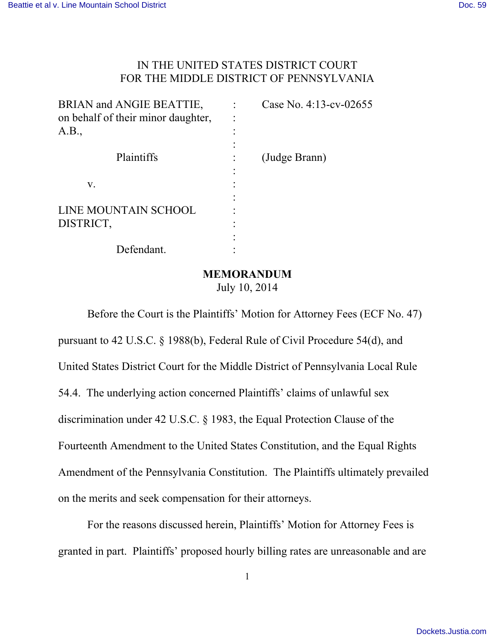## IN THE UNITED STATES DISTRICT COURT FOR THE MIDDLE DISTRICT OF PENNSYLVANIA

| BRIAN and ANGIE BEATTIE,<br>on behalf of their minor daughter,<br>A.B., | Case No. 4:13-cv-02655 |
|-------------------------------------------------------------------------|------------------------|
| Plaintiffs                                                              | (Judge Brann)          |
| V.                                                                      |                        |
| LINE MOUNTAIN SCHOOL<br>DISTRICT,                                       |                        |
| Defendant.                                                              |                        |

### **MEMORANDUM**

July 10, 2014

Before the Court is the Plaintiffs' Motion for Attorney Fees (ECF No. 47) pursuant to 42 U.S.C. § 1988(b), Federal Rule of Civil Procedure 54(d), and United States District Court for the Middle District of Pennsylvania Local Rule 54.4. The underlying action concerned Plaintiffs' claims of unlawful sex discrimination under 42 U.S.C. § 1983, the Equal Protection Clause of the Fourteenth Amendment to the United States Constitution, and the Equal Rights Amendment of the Pennsylvania Constitution. The Plaintiffs ultimately prevailed on the merits and seek compensation for their attorneys.

For the reasons discussed herein, Plaintiffs' Motion for Attorney Fees is granted in part. Plaintiffs' proposed hourly billing rates are unreasonable and are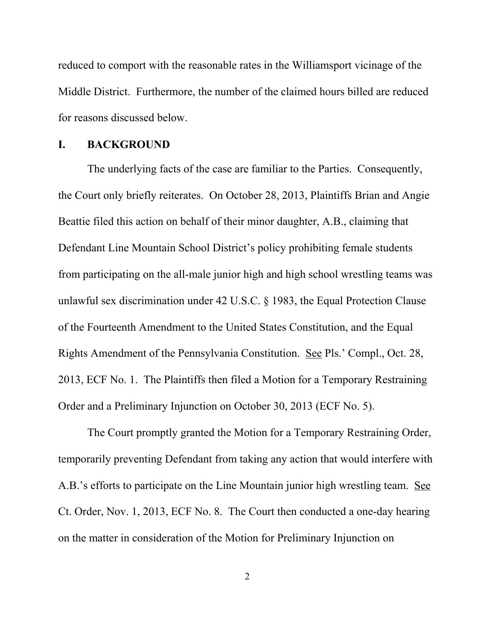reduced to comport with the reasonable rates in the Williamsport vicinage of the Middle District. Furthermore, the number of the claimed hours billed are reduced for reasons discussed below.

### **I. BACKGROUND**

The underlying facts of the case are familiar to the Parties. Consequently, the Court only briefly reiterates. On October 28, 2013, Plaintiffs Brian and Angie Beattie filed this action on behalf of their minor daughter, A.B., claiming that Defendant Line Mountain School District's policy prohibiting female students from participating on the all-male junior high and high school wrestling teams was unlawful sex discrimination under 42 U.S.C. § 1983, the Equal Protection Clause of the Fourteenth Amendment to the United States Constitution, and the Equal Rights Amendment of the Pennsylvania Constitution. See Pls.' Compl., Oct. 28, 2013, ECF No. 1. The Plaintiffs then filed a Motion for a Temporary Restraining Order and a Preliminary Injunction on October 30, 2013 (ECF No. 5).

The Court promptly granted the Motion for a Temporary Restraining Order, temporarily preventing Defendant from taking any action that would interfere with A.B.'s efforts to participate on the Line Mountain junior high wrestling team. See Ct. Order, Nov. 1, 2013, ECF No. 8. The Court then conducted a one-day hearing on the matter in consideration of the Motion for Preliminary Injunction on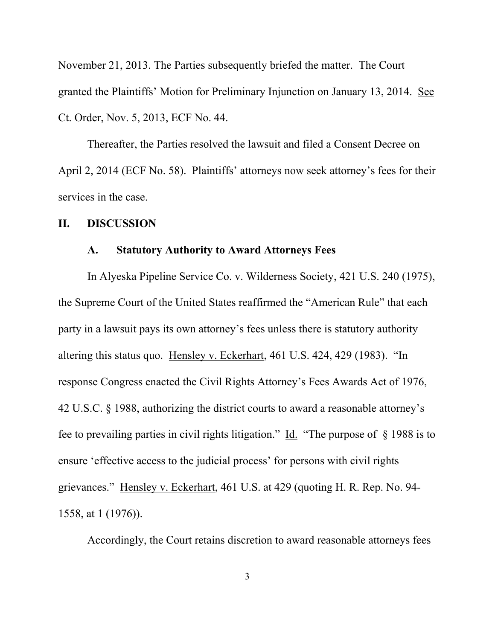November 21, 2013. The Parties subsequently briefed the matter. The Court granted the Plaintiffs' Motion for Preliminary Injunction on January 13, 2014. See Ct. Order, Nov. 5, 2013, ECF No. 44.

Thereafter, the Parties resolved the lawsuit and filed a Consent Decree on April 2, 2014 (ECF No. 58). Plaintiffs' attorneys now seek attorney's fees for their services in the case.

### **II. DISCUSSION**

### **A. Statutory Authority to Award Attorneys Fees**

In Alyeska Pipeline Service Co. v. Wilderness Society, 421 U.S. 240 (1975), the Supreme Court of the United States reaffirmed the "American Rule" that each party in a lawsuit pays its own attorney's fees unless there is statutory authority altering this status quo. Hensley v. Eckerhart, 461 U.S. 424, 429 (1983). "In response Congress enacted the Civil Rights Attorney's Fees Awards Act of 1976, 42 U.S.C. § 1988, authorizing the district courts to award a reasonable attorney's fee to prevailing parties in civil rights litigation." Id. "The purpose of § 1988 is to ensure 'effective access to the judicial process' for persons with civil rights grievances." Hensley v. Eckerhart, 461 U.S. at 429 (quoting H. R. Rep. No. 94- 1558, at 1 (1976)).

Accordingly, the Court retains discretion to award reasonable attorneys fees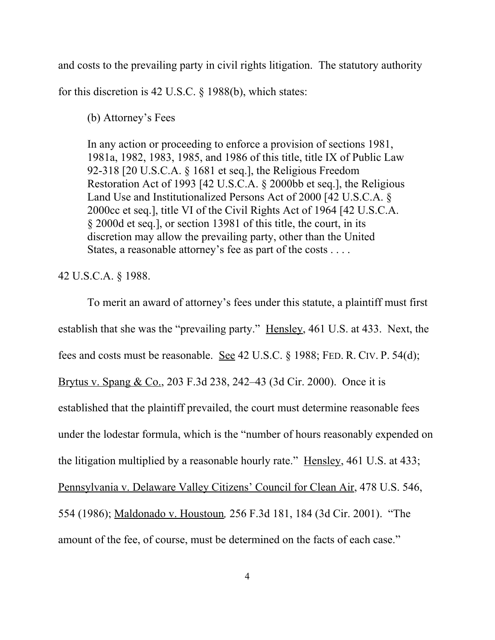and costs to the prevailing party in civil rights litigation. The statutory authority

for this discretion is 42 U.S.C. § 1988(b), which states:

(b) Attorney's Fees

In any action or proceeding to enforce a provision of sections 1981, 1981a, 1982, 1983, 1985, and 1986 of this title, title IX of Public Law 92-318 [20 U.S.C.A. § 1681 et seq.], the Religious Freedom Restoration Act of 1993 [42 U.S.C.A. § 2000bb et seq.], the Religious Land Use and Institutionalized Persons Act of 2000 [42 U.S.C.A. § 2000cc et seq.], title VI of the Civil Rights Act of 1964 [42 U.S.C.A. § 2000d et seq.], or section 13981 of this title, the court, in its discretion may allow the prevailing party, other than the United States, a reasonable attorney's fee as part of the costs . . . .

### 42 U.S.C.A. § 1988.

To merit an award of attorney's fees under this statute, a plaintiff must first establish that she was the "prevailing party." Hensley, 461 U.S. at 433. Next, the fees and costs must be reasonable. See 42 U.S.C. § 1988; FED. R. CIV. P. 54(d); Brytus v. Spang & Co., 203 F.3d 238, 242–43 (3d Cir. 2000). Once it is established that the plaintiff prevailed, the court must determine reasonable fees under the lodestar formula, which is the "number of hours reasonably expended on the litigation multiplied by a reasonable hourly rate." Hensley, 461 U.S. at 433; Pennsylvania v. Delaware Valley Citizens' Council for Clean Air, 478 U.S. 546, 554 (1986); Maldonado v. Houstoun*,* 256 F.3d 181, 184 (3d Cir. 2001). "The amount of the fee, of course, must be determined on the facts of each case."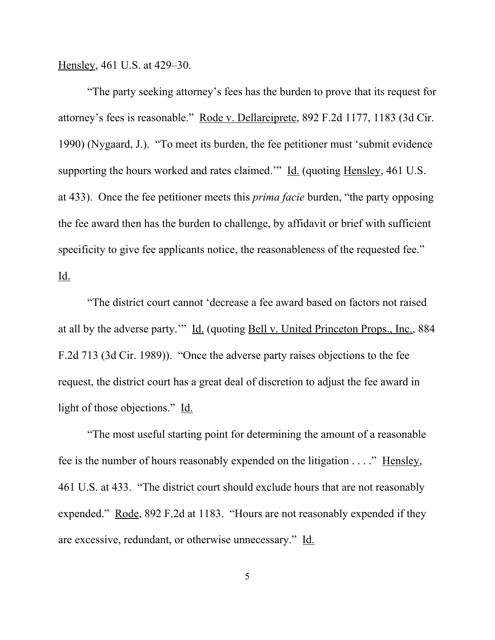Hensley, 461 U.S. at 429–30.

"The party seeking attorney's fees has the burden to prove that its request for attorney's fees is reasonable." Rode v. Dellarciprete, 892 F.2d 1177, 1183 (3d Cir. 1990) (Nygaard, J.). "To meet its burden, the fee petitioner must 'submit evidence supporting the hours worked and rates claimed.'" Id. (quoting Hensley, 461 U.S. at 433). Once the fee petitioner meets this *prima facie* burden, "the party opposing the fee award then has the burden to challenge, by affidavit or brief with sufficient specificity to give fee applicants notice, the reasonableness of the requested fee." Id.

"The district court cannot 'decrease a fee award based on factors not raised at all by the adverse party."" Id. (quoting Bell v. United Princeton Props., Inc., 884 F.2d 713 (3d Cir. 1989)). "Once the adverse party raises objections to the fee request, the district court has a great deal of discretion to adjust the fee award in light of those objections." Id.

"The most useful starting point for determining the amount of a reasonable fee is the number of hours reasonably expended on the litigation . . . ." Hensley, 461 U.S. at 433. "The district court should exclude hours that are not reasonably expended." Rode, 892 F.2d at 1183. "Hours are not reasonably expended if they are excessive, redundant, or otherwise unnecessary." Id.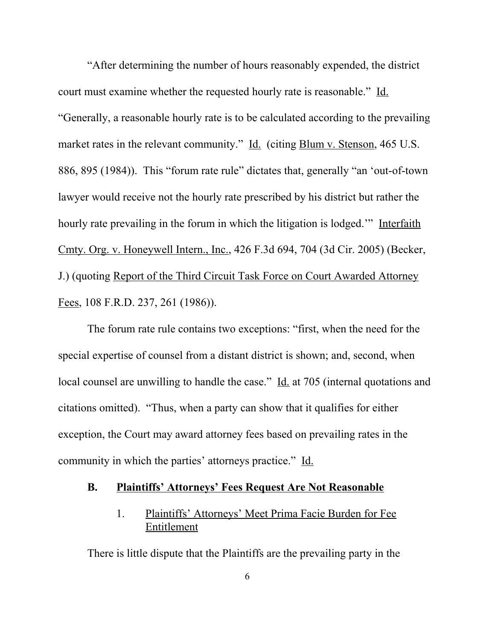"After determining the number of hours reasonably expended, the district court must examine whether the requested hourly rate is reasonable." Id. "Generally, a reasonable hourly rate is to be calculated according to the prevailing market rates in the relevant community." Id. (citing Blum v. Stenson, 465 U.S.) 886, 895 (1984)). This "forum rate rule" dictates that, generally "an 'out-of-town lawyer would receive not the hourly rate prescribed by his district but rather the hourly rate prevailing in the forum in which the litigation is lodged.'" Interfaith Cmty. Org. v. Honeywell Intern., Inc., 426 F.3d 694, 704 (3d Cir. 2005) (Becker, J.) (quoting Report of the Third Circuit Task Force on Court Awarded Attorney Fees, 108 F.R.D. 237, 261 (1986)).

The forum rate rule contains two exceptions: "first, when the need for the special expertise of counsel from a distant district is shown; and, second, when local counsel are unwilling to handle the case." Id. at 705 (internal quotations and citations omitted). "Thus, when a party can show that it qualifies for either exception, the Court may award attorney fees based on prevailing rates in the community in which the parties' attorneys practice." Id.

#### **B. Plaintiffs' Attorneys' Fees Request Are Not Reasonable**

# 1. Plaintiffs' Attorneys' Meet Prima Facie Burden for Fee Entitlement

There is little dispute that the Plaintiffs are the prevailing party in the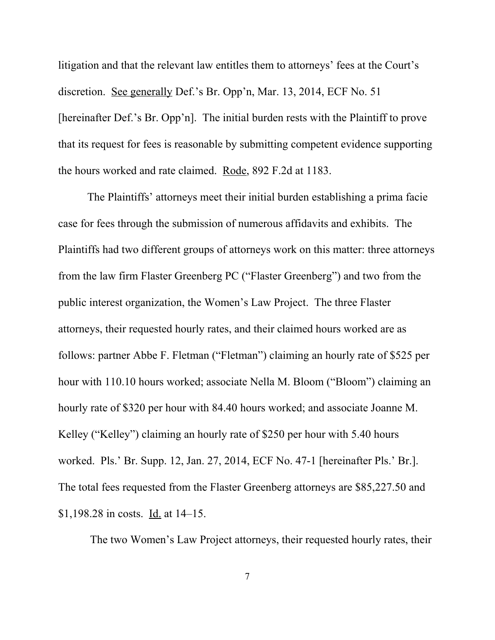litigation and that the relevant law entitles them to attorneys' fees at the Court's discretion. See generally Def.'s Br. Opp'n, Mar. 13, 2014, ECF No. 51 [hereinafter Def.'s Br. Opp'n]. The initial burden rests with the Plaintiff to prove that its request for fees is reasonable by submitting competent evidence supporting the hours worked and rate claimed. Rode, 892 F.2d at 1183.

The Plaintiffs' attorneys meet their initial burden establishing a prima facie case for fees through the submission of numerous affidavits and exhibits. The Plaintiffs had two different groups of attorneys work on this matter: three attorneys from the law firm Flaster Greenberg PC ("Flaster Greenberg") and two from the public interest organization, the Women's Law Project. The three Flaster attorneys, their requested hourly rates, and their claimed hours worked are as follows: partner Abbe F. Fletman ("Fletman") claiming an hourly rate of \$525 per hour with 110.10 hours worked; associate Nella M. Bloom ("Bloom") claiming an hourly rate of \$320 per hour with 84.40 hours worked; and associate Joanne M. Kelley ("Kelley") claiming an hourly rate of \$250 per hour with 5.40 hours worked. Pls.' Br. Supp. 12, Jan. 27, 2014, ECF No. 47-1 [hereinafter Pls.' Br.]. The total fees requested from the Flaster Greenberg attorneys are \$85,227.50 and \$1,198.28 in costs. Id. at 14–15.

The two Women's Law Project attorneys, their requested hourly rates, their

7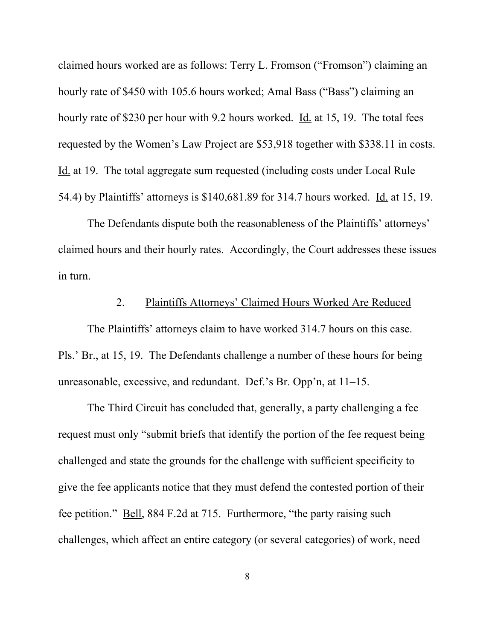claimed hours worked are as follows: Terry L. Fromson ("Fromson") claiming an hourly rate of \$450 with 105.6 hours worked; Amal Bass ("Bass") claiming an hourly rate of \$230 per hour with 9.2 hours worked. Id. at 15, 19. The total fees requested by the Women's Law Project are \$53,918 together with \$338.11 in costs. Id. at 19. The total aggregate sum requested (including costs under Local Rule 54.4) by Plaintiffs' attorneys is \$140,681.89 for 314.7 hours worked. Id. at 15, 19.

The Defendants dispute both the reasonableness of the Plaintiffs' attorneys' claimed hours and their hourly rates. Accordingly, the Court addresses these issues in turn.

### 2. Plaintiffs Attorneys' Claimed Hours Worked Are Reduced

The Plaintiffs' attorneys claim to have worked 314.7 hours on this case. Pls.' Br., at 15, 19. The Defendants challenge a number of these hours for being unreasonable, excessive, and redundant. Def.'s Br. Opp'n, at 11–15.

The Third Circuit has concluded that, generally, a party challenging a fee request must only "submit briefs that identify the portion of the fee request being challenged and state the grounds for the challenge with sufficient specificity to give the fee applicants notice that they must defend the contested portion of their fee petition." Bell, 884 F.2d at 715. Furthermore, "the party raising such challenges, which affect an entire category (or several categories) of work, need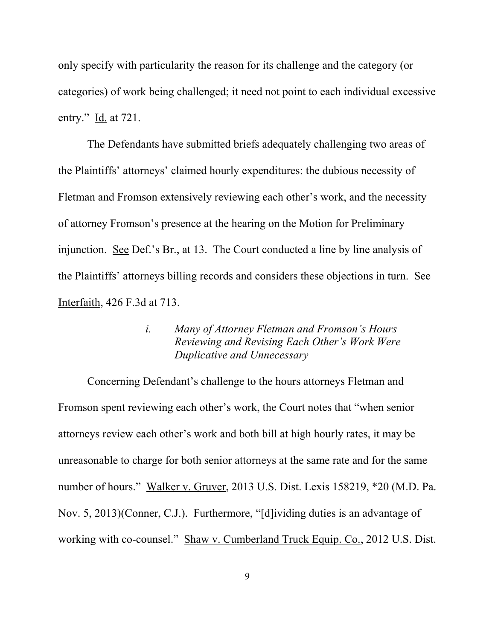only specify with particularity the reason for its challenge and the category (or categories) of work being challenged; it need not point to each individual excessive entry." Id. at 721.

The Defendants have submitted briefs adequately challenging two areas of the Plaintiffs' attorneys' claimed hourly expenditures: the dubious necessity of Fletman and Fromson extensively reviewing each other's work, and the necessity of attorney Fromson's presence at the hearing on the Motion for Preliminary injunction. See Def.'s Br., at 13. The Court conducted a line by line analysis of the Plaintiffs' attorneys billing records and considers these objections in turn. See Interfaith, 426 F.3d at 713.

## *i. Many of Attorney Fletman and Fromson's Hours Reviewing and Revising Each Other's Work Were Duplicative and Unnecessary*

Concerning Defendant's challenge to the hours attorneys Fletman and Fromson spent reviewing each other's work, the Court notes that "when senior attorneys review each other's work and both bill at high hourly rates, it may be unreasonable to charge for both senior attorneys at the same rate and for the same number of hours." Walker v. Gruver, 2013 U.S. Dist. Lexis 158219, \*20 (M.D. Pa. Nov. 5, 2013)(Conner, C.J.). Furthermore, "[d]ividing duties is an advantage of working with co-counsel." Shaw v. Cumberland Truck Equip. Co., 2012 U.S. Dist.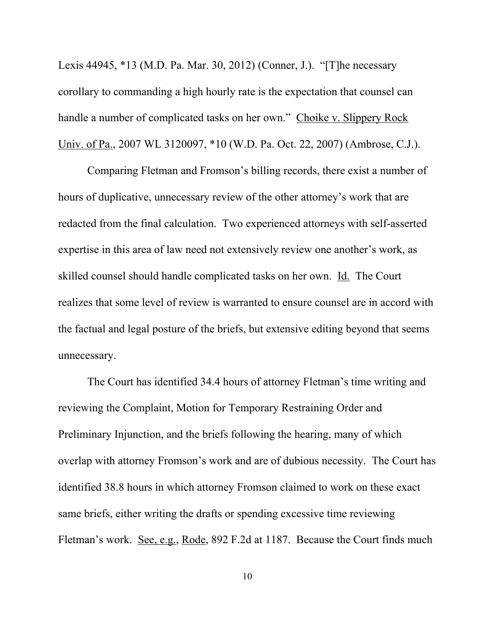Lexis 44945, \*13 (M.D. Pa. Mar. 30, 2012) (Conner, J.). "[T]he necessary corollary to commanding a high hourly rate is the expectation that counsel can handle a number of complicated tasks on her own." Choike v. Slippery Rock Univ. of Pa., 2007 WL 3120097, \*10 (W.D. Pa. Oct. 22, 2007) (Ambrose, C.J.).

Comparing Fletman and Fromson's billing records, there exist a number of hours of duplicative, unnecessary review of the other attorney's work that are redacted from the final calculation. Two experienced attorneys with self-asserted expertise in this area of law need not extensively review one another's work, as skilled counsel should handle complicated tasks on her own. Id. The Court realizes that some level of review is warranted to ensure counsel are in accord with the factual and legal posture of the briefs, but extensive editing beyond that seems unnecessary.

The Court has identified 34.4 hours of attorney Fletman's time writing and reviewing the Complaint, Motion for Temporary Restraining Order and Preliminary Injunction, and the briefs following the hearing, many of which overlap with attorney Fromson's work and are of dubious necessity. The Court has identified 38.8 hours in which attorney Fromson claimed to work on these exact same briefs, either writing the drafts or spending excessive time reviewing Fletman's work. See, e.g., Rode, 892 F.2d at 1187. Because the Court finds much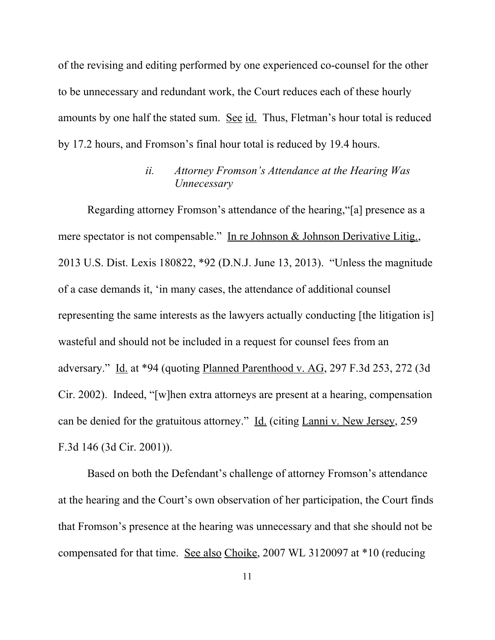of the revising and editing performed by one experienced co-counsel for the other to be unnecessary and redundant work, the Court reduces each of these hourly amounts by one half the stated sum. See id. Thus, Fletman's hour total is reduced by 17.2 hours, and Fromson's final hour total is reduced by 19.4 hours.

# *ii. Attorney Fromson's Attendance at the Hearing Was Unnecessary*

Regarding attorney Fromson's attendance of the hearing,"[a] presence as a mere spectator is not compensable." In re Johnson & Johnson Derivative Litig., 2013 U.S. Dist. Lexis 180822, \*92 (D.N.J. June 13, 2013). "Unless the magnitude of a case demands it, 'in many cases, the attendance of additional counsel representing the same interests as the lawyers actually conducting [the litigation is] wasteful and should not be included in a request for counsel fees from an adversary." Id. at \*94 (quoting Planned Parenthood v. AG, 297 F.3d 253, 272 (3d Cir. 2002). Indeed, "[w]hen extra attorneys are present at a hearing, compensation can be denied for the gratuitous attorney." Id. (citing Lanni v. New Jersey, 259 F.3d 146 (3d Cir. 2001)).

Based on both the Defendant's challenge of attorney Fromson's attendance at the hearing and the Court's own observation of her participation, the Court finds that Fromson's presence at the hearing was unnecessary and that she should not be compensated for that time. See also Choike, 2007 WL 3120097 at \*10 (reducing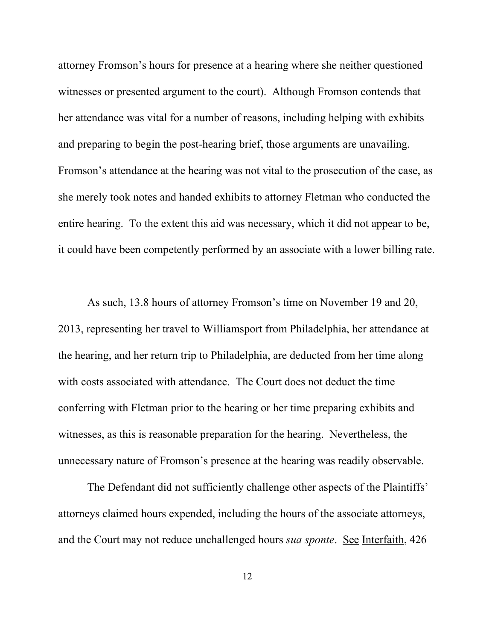attorney Fromson's hours for presence at a hearing where she neither questioned witnesses or presented argument to the court). Although Fromson contends that her attendance was vital for a number of reasons, including helping with exhibits and preparing to begin the post-hearing brief, those arguments are unavailing. Fromson's attendance at the hearing was not vital to the prosecution of the case, as she merely took notes and handed exhibits to attorney Fletman who conducted the entire hearing. To the extent this aid was necessary, which it did not appear to be, it could have been competently performed by an associate with a lower billing rate.

As such, 13.8 hours of attorney Fromson's time on November 19 and 20, 2013, representing her travel to Williamsport from Philadelphia, her attendance at the hearing, and her return trip to Philadelphia, are deducted from her time along with costs associated with attendance. The Court does not deduct the time conferring with Fletman prior to the hearing or her time preparing exhibits and witnesses, as this is reasonable preparation for the hearing. Nevertheless, the unnecessary nature of Fromson's presence at the hearing was readily observable.

The Defendant did not sufficiently challenge other aspects of the Plaintiffs' attorneys claimed hours expended, including the hours of the associate attorneys, and the Court may not reduce unchallenged hours *sua sponte*. See Interfaith, 426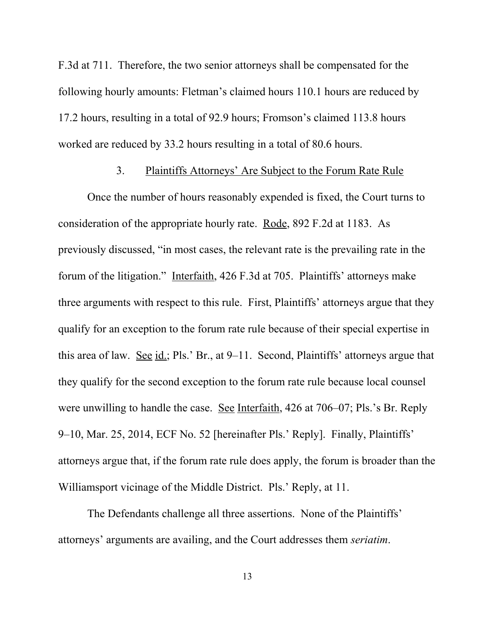F.3d at 711. Therefore, the two senior attorneys shall be compensated for the following hourly amounts: Fletman's claimed hours 110.1 hours are reduced by 17.2 hours, resulting in a total of 92.9 hours; Fromson's claimed 113.8 hours worked are reduced by 33.2 hours resulting in a total of 80.6 hours.

## 3. Plaintiffs Attorneys' Are Subject to the Forum Rate Rule

Once the number of hours reasonably expended is fixed, the Court turns to consideration of the appropriate hourly rate. Rode, 892 F.2d at 1183. As previously discussed, "in most cases, the relevant rate is the prevailing rate in the forum of the litigation." Interfaith, 426 F.3d at 705. Plaintiffs' attorneys make three arguments with respect to this rule. First, Plaintiffs' attorneys argue that they qualify for an exception to the forum rate rule because of their special expertise in this area of law. See  $id$ ; Pls.' Br., at 9–11. Second, Plaintiffs' attorneys argue that they qualify for the second exception to the forum rate rule because local counsel were unwilling to handle the case. See Interfaith, 426 at 706–07; Pls.'s Br. Reply 9–10, Mar. 25, 2014, ECF No. 52 [hereinafter Pls.' Reply]. Finally, Plaintiffs' attorneys argue that, if the forum rate rule does apply, the forum is broader than the Williamsport vicinage of the Middle District. Pls.' Reply, at 11.

The Defendants challenge all three assertions. None of the Plaintiffs' attorneys' arguments are availing, and the Court addresses them *seriatim*.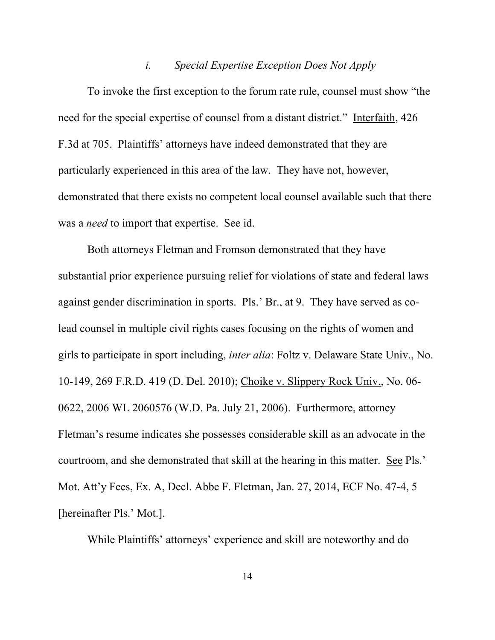## *i. Special Expertise Exception Does Not Apply*

To invoke the first exception to the forum rate rule, counsel must show "the need for the special expertise of counsel from a distant district." Interfaith, 426 F.3d at 705. Plaintiffs' attorneys have indeed demonstrated that they are particularly experienced in this area of the law. They have not, however, demonstrated that there exists no competent local counsel available such that there was a *need* to import that expertise. See id.

Both attorneys Fletman and Fromson demonstrated that they have substantial prior experience pursuing relief for violations of state and federal laws against gender discrimination in sports. Pls.' Br., at 9. They have served as colead counsel in multiple civil rights cases focusing on the rights of women and girls to participate in sport including, *inter alia*: Foltz v. Delaware State Univ., No. 10-149, 269 F.R.D. 419 (D. Del. 2010); Choike v. Slippery Rock Univ., No. 06- 0622, 2006 WL 2060576 (W.D. Pa. July 21, 2006). Furthermore, attorney Fletman's resume indicates she possesses considerable skill as an advocate in the courtroom, and she demonstrated that skill at the hearing in this matter. See Pls.' Mot. Att'y Fees, Ex. A, Decl. Abbe F. Fletman, Jan. 27, 2014, ECF No. 47-4, 5 [hereinafter Pls.' Mot.].

While Plaintiffs' attorneys' experience and skill are noteworthy and do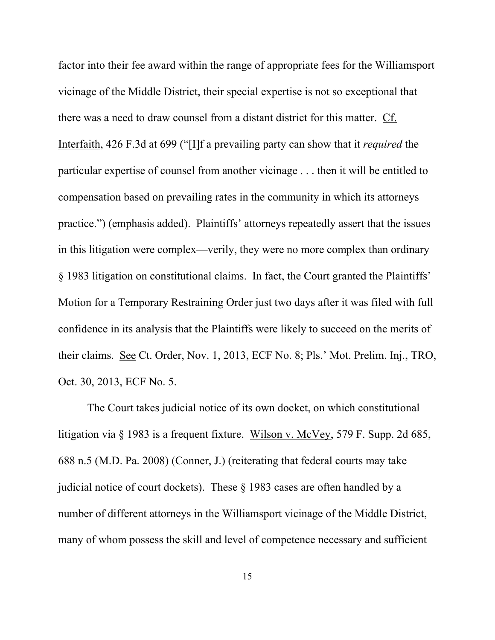factor into their fee award within the range of appropriate fees for the Williamsport vicinage of the Middle District, their special expertise is not so exceptional that there was a need to draw counsel from a distant district for this matter. Cf. Interfaith, 426 F.3d at 699 ("[I]f a prevailing party can show that it *required* the particular expertise of counsel from another vicinage . . . then it will be entitled to compensation based on prevailing rates in the community in which its attorneys practice.") (emphasis added). Plaintiffs' attorneys repeatedly assert that the issues in this litigation were complex—verily, they were no more complex than ordinary § 1983 litigation on constitutional claims. In fact, the Court granted the Plaintiffs' Motion for a Temporary Restraining Order just two days after it was filed with full confidence in its analysis that the Plaintiffs were likely to succeed on the merits of their claims. See Ct. Order, Nov. 1, 2013, ECF No. 8; Pls.' Mot. Prelim. Inj., TRO, Oct. 30, 2013, ECF No. 5.

The Court takes judicial notice of its own docket, on which constitutional litigation via § 1983 is a frequent fixture. Wilson v. McVey, 579 F. Supp. 2d 685, 688 n.5 (M.D. Pa. 2008) (Conner, J.) (reiterating that federal courts may take judicial notice of court dockets). These § 1983 cases are often handled by a number of different attorneys in the Williamsport vicinage of the Middle District, many of whom possess the skill and level of competence necessary and sufficient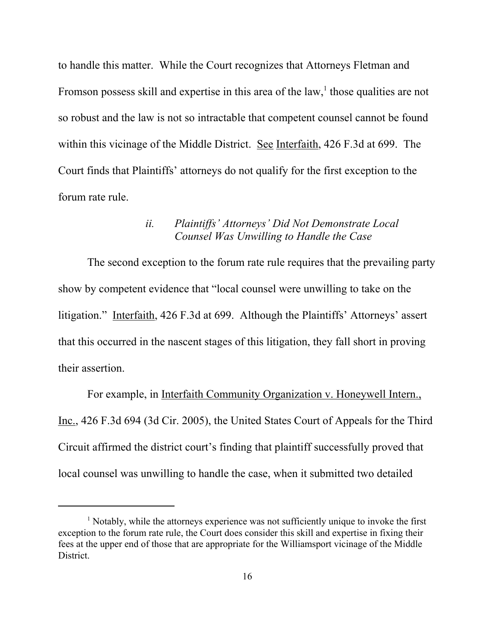to handle this matter. While the Court recognizes that Attorneys Fletman and Fromson possess skill and expertise in this area of the law,<sup>1</sup> those qualities are not so robust and the law is not so intractable that competent counsel cannot be found within this vicinage of the Middle District. See Interfaith, 426 F.3d at 699. The Court finds that Plaintiffs' attorneys do not qualify for the first exception to the forum rate rule.

## *ii. Plaintiffs' Attorneys' Did Not Demonstrate Local Counsel Was Unwilling to Handle the Case*

The second exception to the forum rate rule requires that the prevailing party show by competent evidence that "local counsel were unwilling to take on the litigation." Interfaith, 426 F.3d at 699. Although the Plaintiffs' Attorneys' assert that this occurred in the nascent stages of this litigation, they fall short in proving their assertion.

For example, in Interfaith Community Organization v. Honeywell Intern., Inc., 426 F.3d 694 (3d Cir. 2005), the United States Court of Appeals for the Third Circuit affirmed the district court's finding that plaintiff successfully proved that local counsel was unwilling to handle the case, when it submitted two detailed

<sup>&</sup>lt;sup>1</sup> Notably, while the attorneys experience was not sufficiently unique to invoke the first exception to the forum rate rule, the Court does consider this skill and expertise in fixing their fees at the upper end of those that are appropriate for the Williamsport vicinage of the Middle District.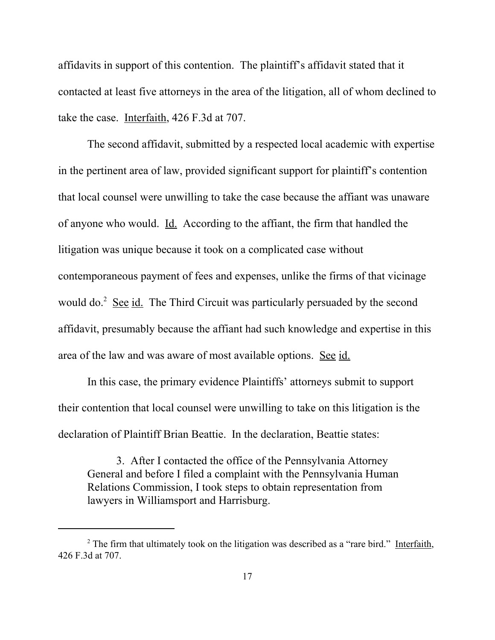affidavits in support of this contention. The plaintiff's affidavit stated that it contacted at least five attorneys in the area of the litigation, all of whom declined to take the case. Interfaith, 426 F.3d at 707.

The second affidavit, submitted by a respected local academic with expertise in the pertinent area of law, provided significant support for plaintiff's contention that local counsel were unwilling to take the case because the affiant was unaware of anyone who would. Id. According to the affiant, the firm that handled the litigation was unique because it took on a complicated case without contemporaneous payment of fees and expenses, unlike the firms of that vicinage would do.<sup>2</sup> See id. The Third Circuit was particularly persuaded by the second affidavit, presumably because the affiant had such knowledge and expertise in this area of the law and was aware of most available options. See id.

In this case, the primary evidence Plaintiffs' attorneys submit to support their contention that local counsel were unwilling to take on this litigation is the declaration of Plaintiff Brian Beattie. In the declaration, Beattie states:

3. After I contacted the office of the Pennsylvania Attorney General and before I filed a complaint with the Pennsylvania Human Relations Commission, I took steps to obtain representation from lawyers in Williamsport and Harrisburg.

<sup>&</sup>lt;sup>2</sup> The firm that ultimately took on the litigation was described as a "rare bird." Interfaith, 426 F.3d at 707.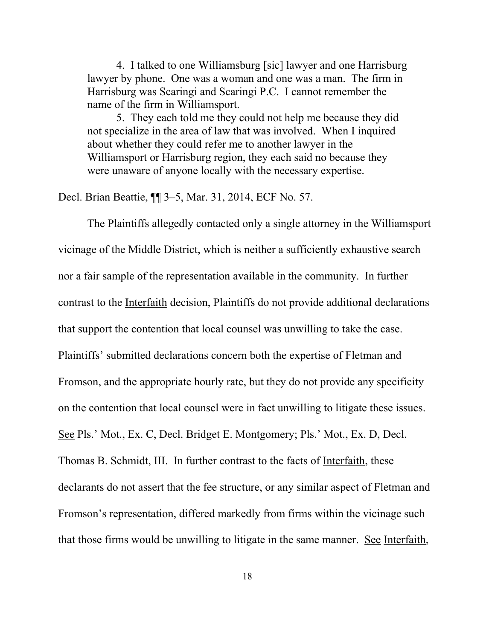4. I talked to one Williamsburg [sic] lawyer and one Harrisburg lawyer by phone. One was a woman and one was a man. The firm in Harrisburg was Scaringi and Scaringi P.C. I cannot remember the name of the firm in Williamsport.

5. They each told me they could not help me because they did not specialize in the area of law that was involved. When I inquired about whether they could refer me to another lawyer in the Williamsport or Harrisburg region, they each said no because they were unaware of anyone locally with the necessary expertise.

Decl. Brian Beattie, ¶¶ 3–5, Mar. 31, 2014, ECF No. 57.

The Plaintiffs allegedly contacted only a single attorney in the Williamsport vicinage of the Middle District, which is neither a sufficiently exhaustive search nor a fair sample of the representation available in the community. In further contrast to the Interfaith decision, Plaintiffs do not provide additional declarations that support the contention that local counsel was unwilling to take the case. Plaintiffs' submitted declarations concern both the expertise of Fletman and Fromson, and the appropriate hourly rate, but they do not provide any specificity on the contention that local counsel were in fact unwilling to litigate these issues. See Pls.' Mot., Ex. C, Decl. Bridget E. Montgomery; Pls.' Mot., Ex. D, Decl. Thomas B. Schmidt, III. In further contrast to the facts of Interfaith, these declarants do not assert that the fee structure, or any similar aspect of Fletman and Fromson's representation, differed markedly from firms within the vicinage such that those firms would be unwilling to litigate in the same manner. See Interfaith,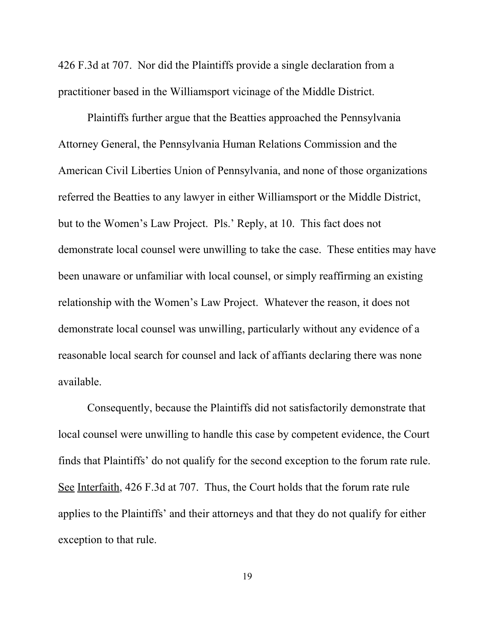426 F.3d at 707. Nor did the Plaintiffs provide a single declaration from a practitioner based in the Williamsport vicinage of the Middle District.

Plaintiffs further argue that the Beatties approached the Pennsylvania Attorney General, the Pennsylvania Human Relations Commission and the American Civil Liberties Union of Pennsylvania, and none of those organizations referred the Beatties to any lawyer in either Williamsport or the Middle District, but to the Women's Law Project. Pls.' Reply, at 10. This fact does not demonstrate local counsel were unwilling to take the case. These entities may have been unaware or unfamiliar with local counsel, or simply reaffirming an existing relationship with the Women's Law Project. Whatever the reason, it does not demonstrate local counsel was unwilling, particularly without any evidence of a reasonable local search for counsel and lack of affiants declaring there was none available.

Consequently, because the Plaintiffs did not satisfactorily demonstrate that local counsel were unwilling to handle this case by competent evidence, the Court finds that Plaintiffs' do not qualify for the second exception to the forum rate rule. See Interfaith, 426 F.3d at 707. Thus, the Court holds that the forum rate rule applies to the Plaintiffs' and their attorneys and that they do not qualify for either exception to that rule.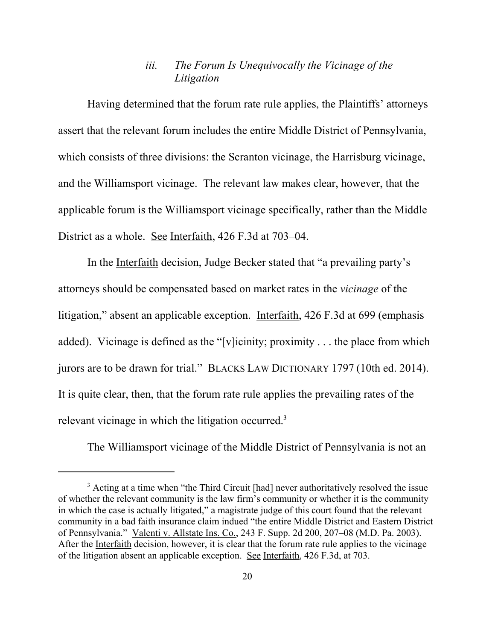## *iii. The Forum Is Unequivocally the Vicinage of the Litigation*

Having determined that the forum rate rule applies, the Plaintiffs' attorneys assert that the relevant forum includes the entire Middle District of Pennsylvania, which consists of three divisions: the Scranton vicinage, the Harrisburg vicinage, and the Williamsport vicinage. The relevant law makes clear, however, that the applicable forum is the Williamsport vicinage specifically, rather than the Middle District as a whole. See Interfaith, 426 F.3d at 703–04.

In the Interfaith decision, Judge Becker stated that "a prevailing party's attorneys should be compensated based on market rates in the *vicinage* of the litigation," absent an applicable exception. Interfaith, 426 F.3d at 699 (emphasis added). Vicinage is defined as the "[v]icinity; proximity . . . the place from which jurors are to be drawn for trial." BLACKS LAW DICTIONARY 1797 (10th ed. 2014). It is quite clear, then, that the forum rate rule applies the prevailing rates of the relevant vicinage in which the litigation occurred.<sup>3</sup>

The Williamsport vicinage of the Middle District of Pennsylvania is not an

<sup>&</sup>lt;sup>3</sup> Acting at a time when "the Third Circuit [had] never authoritatively resolved the issue of whether the relevant community is the law firm's community or whether it is the community in which the case is actually litigated," a magistrate judge of this court found that the relevant community in a bad faith insurance claim indued "the entire Middle District and Eastern District of Pennsylvania." Valenti v. Allstate Ins. Co., 243 F. Supp. 2d 200, 207–08 (M.D. Pa. 2003). After the Interfaith decision, however, it is clear that the forum rate rule applies to the vicinage of the litigation absent an applicable exception. See Interfaith, 426 F.3d, at 703.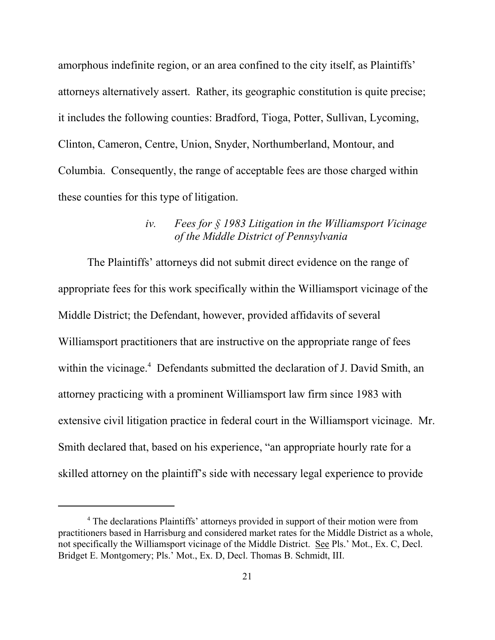amorphous indefinite region, or an area confined to the city itself, as Plaintiffs' attorneys alternatively assert. Rather, its geographic constitution is quite precise; it includes the following counties: Bradford, Tioga, Potter, Sullivan, Lycoming, Clinton, Cameron, Centre, Union, Snyder, Northumberland, Montour, and Columbia. Consequently, the range of acceptable fees are those charged within these counties for this type of litigation.

## *iv. Fees for § 1983 Litigation in the Williamsport Vicinage of the Middle District of Pennsylvania*

The Plaintiffs' attorneys did not submit direct evidence on the range of appropriate fees for this work specifically within the Williamsport vicinage of the Middle District; the Defendant, however, provided affidavits of several Williamsport practitioners that are instructive on the appropriate range of fees within the vicinage.<sup>4</sup> Defendants submitted the declaration of J. David Smith, an attorney practicing with a prominent Williamsport law firm since 1983 with extensive civil litigation practice in federal court in the Williamsport vicinage. Mr. Smith declared that, based on his experience, "an appropriate hourly rate for a skilled attorney on the plaintiff's side with necessary legal experience to provide

<sup>&</sup>lt;sup>4</sup> The declarations Plaintiffs' attorneys provided in support of their motion were from practitioners based in Harrisburg and considered market rates for the Middle District as a whole, not specifically the Williamsport vicinage of the Middle District. See Pls.' Mot., Ex. C, Decl. Bridget E. Montgomery; Pls.' Mot., Ex. D, Decl. Thomas B. Schmidt, III.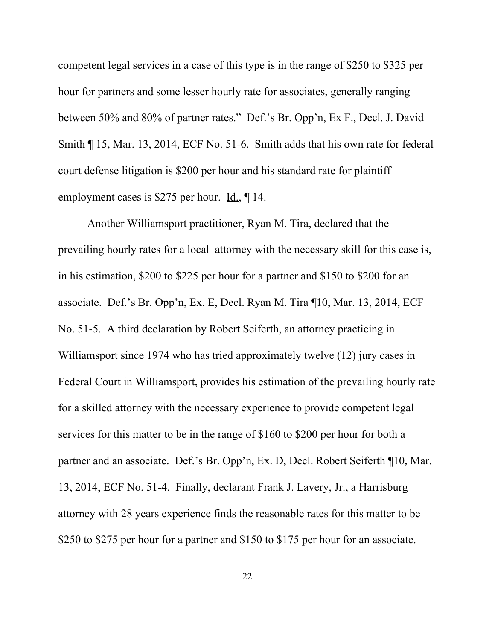competent legal services in a case of this type is in the range of \$250 to \$325 per hour for partners and some lesser hourly rate for associates, generally ranging between 50% and 80% of partner rates." Def.'s Br. Opp'n, Ex F., Decl. J. David Smith ¶ 15, Mar. 13, 2014, ECF No. 51-6. Smith adds that his own rate for federal court defense litigation is \$200 per hour and his standard rate for plaintiff employment cases is \$275 per hour. <u>Id.</u>, 14.

Another Williamsport practitioner, Ryan M. Tira, declared that the prevailing hourly rates for a local attorney with the necessary skill for this case is, in his estimation, \$200 to \$225 per hour for a partner and \$150 to \$200 for an associate. Def.'s Br. Opp'n, Ex. E, Decl. Ryan M. Tira ¶10, Mar. 13, 2014, ECF No. 51-5. A third declaration by Robert Seiferth, an attorney practicing in Williamsport since 1974 who has tried approximately twelve (12) jury cases in Federal Court in Williamsport, provides his estimation of the prevailing hourly rate for a skilled attorney with the necessary experience to provide competent legal services for this matter to be in the range of \$160 to \$200 per hour for both a partner and an associate. Def.'s Br. Opp'n, Ex. D, Decl. Robert Seiferth ¶10, Mar. 13, 2014, ECF No. 51-4. Finally, declarant Frank J. Lavery, Jr., a Harrisburg attorney with 28 years experience finds the reasonable rates for this matter to be \$250 to \$275 per hour for a partner and \$150 to \$175 per hour for an associate.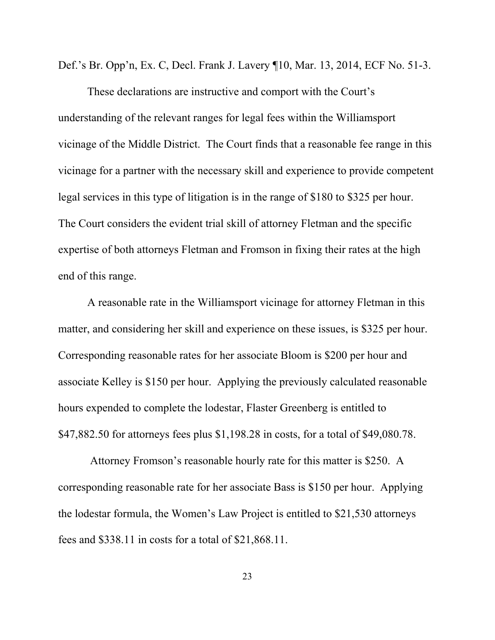Def.'s Br. Opp'n, Ex. C, Decl. Frank J. Lavery ¶10, Mar. 13, 2014, ECF No. 51-3.

These declarations are instructive and comport with the Court's understanding of the relevant ranges for legal fees within the Williamsport vicinage of the Middle District. The Court finds that a reasonable fee range in this vicinage for a partner with the necessary skill and experience to provide competent legal services in this type of litigation is in the range of \$180 to \$325 per hour. The Court considers the evident trial skill of attorney Fletman and the specific expertise of both attorneys Fletman and Fromson in fixing their rates at the high end of this range.

A reasonable rate in the Williamsport vicinage for attorney Fletman in this matter, and considering her skill and experience on these issues, is \$325 per hour. Corresponding reasonable rates for her associate Bloom is \$200 per hour and associate Kelley is \$150 per hour. Applying the previously calculated reasonable hours expended to complete the lodestar, Flaster Greenberg is entitled to \$47,882.50 for attorneys fees plus \$1,198.28 in costs, for a total of \$49,080.78.

 Attorney Fromson's reasonable hourly rate for this matter is \$250. A corresponding reasonable rate for her associate Bass is \$150 per hour. Applying the lodestar formula, the Women's Law Project is entitled to \$21,530 attorneys fees and \$338.11 in costs for a total of \$21,868.11.